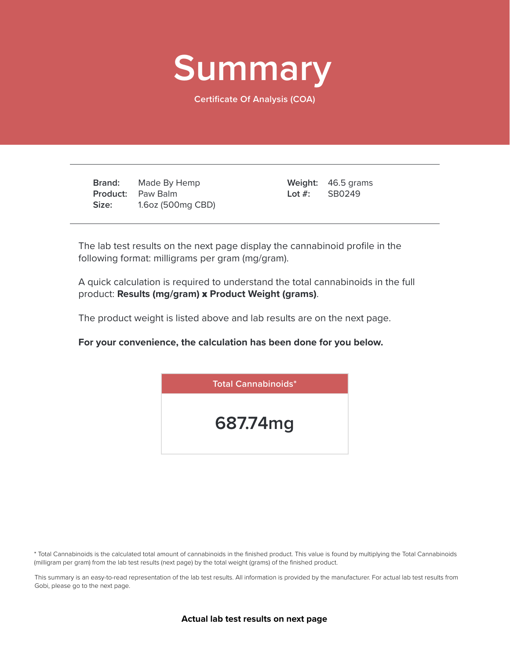

**Certificate Of Analysis (COA)**

**Brand: Product:** Paw Balm **Size:** Made By Hemp 1.6oz (500mg CBD)

46.5 grams **Weight:** SB0249 **Lot #:**

The lab test results on the next page display the cannabinoid profile in the following format: milligrams per gram (mg/gram).

A quick calculation is required to understand the total cannabinoids in the full product: **Results (mg/gram)** x **Product Weight (grams)**.

The product weight is listed above and lab results are on the next page.

**For your convenience, the calculation has been done for you below.**



\* Total Cannabinoids is the calculated total amount of cannabinoids in the finished product. This value is found by multiplying the Total Cannabinoids (milligram per gram) from the lab test results (next page) by the total weight (grams) of the finished product.

This summary is an easy-to-read representation of the lab test results. All information is provided by the manufacturer. For actual lab test results from Gobi, please go to the next page.